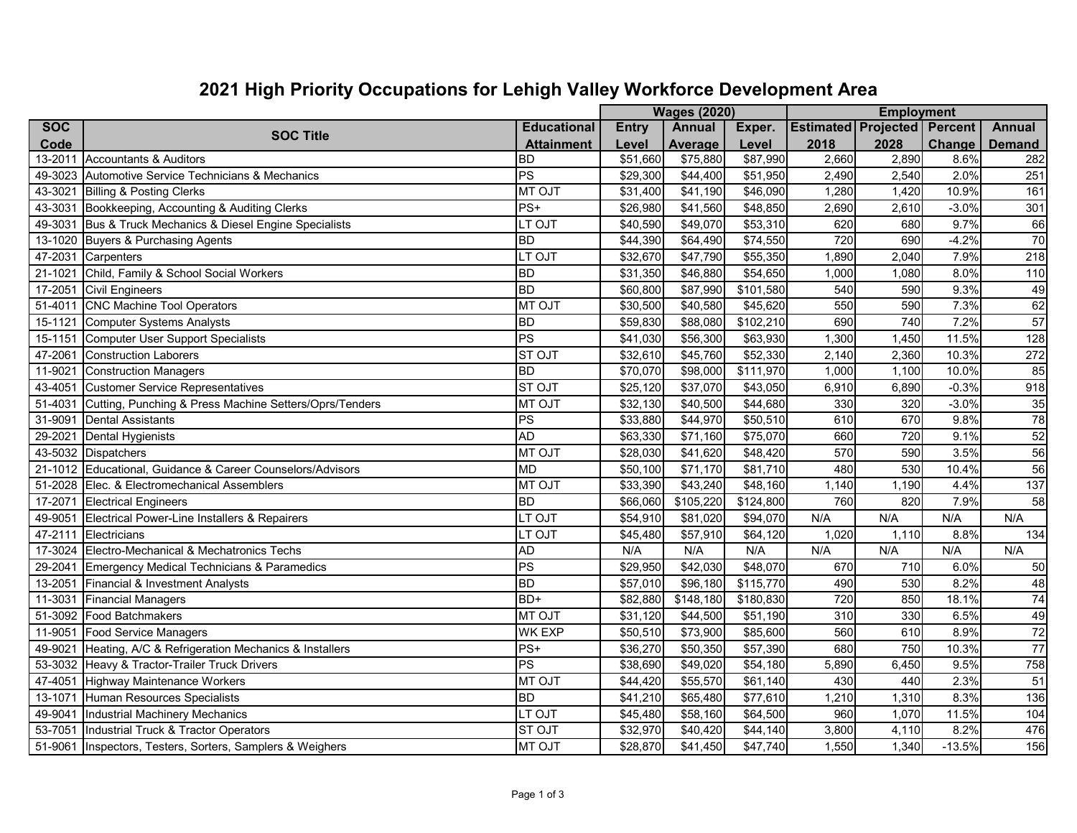## **2021 High Priority Occupations for Lehigh Valley Workforce Development Area**

|             |                                                            |                    | <b>Wages (2020)</b>  |               |                      |                                    |       |          |                  |
|-------------|------------------------------------------------------------|--------------------|----------------------|---------------|----------------------|------------------------------------|-------|----------|------------------|
| <b>SOC</b>  | <b>SOC Title</b>                                           | <b>Educational</b> | <b>Entry</b>         | <b>Annual</b> | Exper.               | <b>Estimated Projected Percent</b> |       |          | <b>Annual</b>    |
| Code        |                                                            | <b>Attainment</b>  | Level                | Average       | Level                | 2018                               | 2028  | Change   | <b>Demand</b>    |
| 13-2011     | Accountants & Auditors                                     | <b>BD</b>          | \$51,660             | \$75,880      | \$87,990             | 2,660                              | 2,890 | 8.6%     | 282              |
|             | 49-3023 Automotive Service Technicians & Mechanics         | $ \mathsf{PS} $    | \$29,300             | \$44,400      | \$51,950             | 2,490                              | 2,540 | 2.0%     | 251              |
| 43-3021     | <b>Billing &amp; Posting Clerks</b>                        | <b>MT OJT</b>      | \$31,400             | \$41,190      | \$46,090             | 1,280                              | 1,420 | 10.9%    | 161              |
|             | 43-3031 Bookkeeping, Accounting & Auditing Clerks          | $PS+$              | \$26,980             | \$41,560      | \$48,850             | 2,690                              | 2,610 | $-3.0%$  | 301              |
| 49-3031     | Bus & Truck Mechanics & Diesel Engine Specialists          | LT OJT             | \$40,590             | \$49,070      | \$53,310             | 620                                | 680   | 9.7%     | 66               |
|             | 13-1020 Buyers & Purchasing Agents                         | <b>BD</b>          | \$44,390             | \$64,490      | \$74,550             | 720                                | 690   | $-4.2%$  | 70               |
| 47-2031     | Carpenters                                                 | LT OJT             | \$32,670             | \$47,790      | \$55,350             | 1,890                              | 2,040 | 7.9%     | 218              |
| 21-1021     | Child, Family & School Social Workers                      | <b>BD</b>          | \$31,350             | \$46,880      | \$54,650             | 1,000                              | 1,080 | 8.0%     | 110              |
| 17-2051     | <b>Civil Engineers</b>                                     | <b>BD</b>          | \$60,800             | \$87,990      | \$101,580            | 540                                | 590   | 9.3%     | 49               |
| 51-4011     | <b>CNC Machine Tool Operators</b>                          | <b>MT OJT</b>      | \$30,500             | \$40,580      | \$45,620             | 550                                | 590   | 7.3%     | 62               |
| 15-1121     | <b>Computer Systems Analysts</b>                           | <b>BD</b>          | \$59,830             | \$88,080      | \$102,210            | 690                                | 740   | 7.2%     | $\overline{57}$  |
|             | 15-1151 Computer User Support Specialists                  | PS                 | \$41,030             | \$56,300      | \$63,930             | 1,300                              | 1,450 | 11.5%    | 128              |
| 47-2061     | <b>Construction Laborers</b>                               | <b>STOJT</b>       | \$32,610             | \$45,760      | \$52,330             | 2,140                              | 2,360 | 10.3%    | $\overline{272}$ |
| 11-9021     | <b>Construction Managers</b>                               | <b>BD</b>          | $\overline{$70,070}$ | \$98,000      | \$111,970            | 1,000                              | 1,100 | 10.0%    | 85               |
| 43-4051     | <b>Customer Service Representatives</b>                    | <b>ST OJT</b>      | \$25,120             | \$37,070      | \$43,050             | 6,910                              | 6,890 | $-0.3%$  | $\overline{918}$ |
| 51-4031     | Cutting, Punching & Press Machine Setters/Oprs/Tenders     | <b>MT OJT</b>      | \$32,130             | \$40,500      | \$44,680             | 330                                | 320   | $-3.0%$  | 35               |
| 31-9091     | <b>Dental Assistants</b>                                   | PS                 | \$33,880             | \$44,970      | \$50,510             | 610                                | 670   | 9.8%     | $\overline{78}$  |
| 29-2021     | <b>Dental Hygienists</b>                                   | <b>AD</b>          | \$63,330             | \$71,160      | \$75,070             | 660                                | 720   | 9.1%     | 52               |
|             | 43-5032 Dispatchers                                        | <b>MT OJT</b>      | \$28,030             | \$41,620      | \$48,420             | 570                                | 590   | 3.5%     | $\overline{56}$  |
|             | 21-1012 Educational, Guidance & Career Counselors/Advisors | <b>MD</b>          | \$50,100             | \$71,170      | \$81,710             | 480                                | 530   | 10.4%    | 56               |
|             | 51-2028 Elec. & Electromechanical Assemblers               | <b>MT OJT</b>      | \$33,390             | \$43,240      | \$48,160             | 1,140                              | 1,190 | 4.4%     | 137              |
| 17-2071     | <b>Electrical Engineers</b>                                | <b>BD</b>          | \$66,060             | \$105,220     | \$124,800            | 760                                | 820   | 7.9%     | 58               |
| 49-9051     | Electrical Power-Line Installers & Repairers               | LT OJT             | \$54,910             | \$81,020      | $\overline{$94,070}$ | N/A                                | N/A   | N/A      | N/A              |
| 47-2111     | Electricians                                               | LT OJT             | \$45,480             | \$57,910      | \$64,120             | 1,020                              | 1,110 | 8.8%     | 134              |
|             | 17-3024 Electro-Mechanical & Mechatronics Techs            | <b>AD</b>          | N/A                  | N/A           | N/A                  | N/A                                | N/A   | N/A      | N/A              |
| 29-2041     | Emergency Medical Technicians & Paramedics                 | PS                 | \$29,950             | \$42,030      | \$48,070             | 670                                | 710   | 6.0%     | 50               |
| 13-2051     | Financial & Investment Analysts                            | <b>BD</b>          | \$57,010             | \$96,180      | \$115,770            | 490                                | 530   | 8.2%     | 48               |
|             | 11-3031 Financial Managers                                 | BD+                | \$82,880             | \$148,180     | \$180,830            | 720                                | 850   | 18.1%    | $\overline{74}$  |
|             | 51-3092 Food Batchmakers                                   | <b>MT OJT</b>      | \$31,120             | \$44,500      | \$51,190             | 310                                | 330   | 6.5%     | 49               |
| 11-9051     | Food Service Managers                                      | <b>WK EXP</b>      | \$50,510             | \$73,900      | \$85,600             | 560                                | 610   | 8.9%     | $\overline{72}$  |
| 49-9021     | Heating, A/C & Refrigeration Mechanics & Installers        | $PS+$              | \$36,270             | \$50,350      | \$57,390             | 680                                | 750   | 10.3%    | $\overline{77}$  |
|             | 53-3032 Heavy & Tractor-Trailer Truck Drivers              | PS                 | $\overline{$}38,690$ | \$49,020      | \$54,180             | 5,890                              | 6,450 | 9.5%     | 758              |
|             | 47-4051 Highway Maintenance Workers                        | <b>MT OJT</b>      | \$44,420             | \$55,570      | \$61,140             | 430                                | 440   | 2.3%     | $\overline{51}$  |
| $13 - 1071$ | Human Resources Specialists                                | <b>BD</b>          | \$41,210             | \$65,480      | \$77,610             | 1,210                              | 1,310 | 8.3%     | 136              |
| 49-9041     | Industrial Machinery Mechanics                             | LT OJT             | \$45,480             | \$58,160      | \$64,500             | 960                                | 1,070 | 11.5%    | 104              |
|             | 53-7051 Industrial Truck & Tractor Operators               | <b>ST OJT</b>      | \$32,970             | \$40,420      | \$44,140             | 3,800                              | 4,110 | 8.2%     | 476              |
|             | 51-9061 Inspectors, Testers, Sorters, Samplers & Weighers  | <b>MT OJT</b>      | \$28,870             | \$41,450      | \$47,740             | 1,550                              | 1,340 | $-13.5%$ | 156              |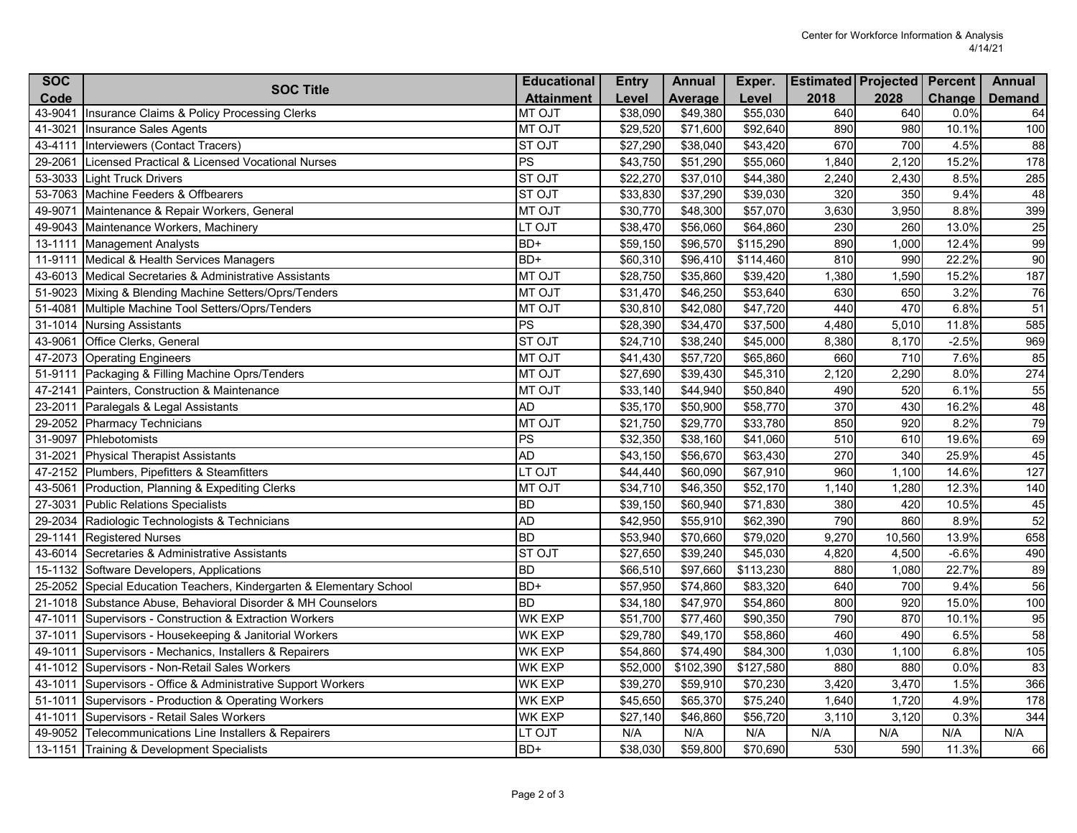| Code<br>2018<br>2028<br><b>Attainment</b><br>Average<br>Level<br>Level<br><b>Demand</b><br>43-9041<br><b>MT OJT</b><br>\$38,090<br>\$49,380<br>\$55,030<br>640<br>640<br>0.0%<br>Insurance Claims & Policy Processing Clerks<br>64<br>980<br>41-3021<br><b>MT OJT</b><br>\$29,520<br>\$71,600<br>\$92,640<br>890<br>10.1%<br>100<br>Insurance Sales Agents<br><b>ST OJT</b><br>\$38,040<br>670<br>700<br>4.5%<br>43-4111<br>Interviewers (Contact Tracers)<br>\$27,290<br>\$43,420<br>88<br>PS<br>29-2061<br>Licensed Practical & Licensed Vocational Nurses<br>\$43,750<br>\$51,290<br>\$55,060<br>1,840<br>2,120<br>15.2%<br>178<br>53-3033 Light Truck Drivers<br><b>ST OJT</b><br>\$22,270<br>\$37,010<br>\$44,380<br>2,240<br>2,430<br>8.5%<br>285<br><b>ST OJT</b><br>\$33,830<br>\$37,290<br>320<br>350<br>9.4%<br>48<br>53-7063 Machine Feeders & Offbearers<br>\$39,030<br>\$57,070<br>3,630<br>3,950<br>8.8%<br>399<br>49-9071<br>Maintenance & Repair Workers, General<br><b>MT OJT</b><br>\$30,770<br>\$48,300<br>49-9043 Maintenance Workers, Machinery<br>LT OJT<br>\$38,470<br>\$56,060<br>\$64,860<br>230<br>260<br>13.0%<br>25<br>BD+<br>\$115,290<br>890<br>99<br>13-1111<br><b>Management Analysts</b><br>\$59,150<br>\$96,570<br>1,000<br>12.4%<br>BD+<br>90<br>\$60,310<br>\$96,410<br>\$114,460<br>810<br>990<br>22.2%<br>11-9111<br>Medical & Health Services Managers<br><b>MT OJT</b><br>1,380<br>1,590<br>187<br>43-6013 Medical Secretaries & Administrative Assistants<br>\$28,750<br>\$35,860<br>\$39,420<br>15.2%<br>\$46,250<br>630<br>650<br>3.2%<br>76<br>51-9023 Mixing & Blending Machine Setters/Oprs/Tenders<br><b>MT OJT</b><br>\$31,470<br>\$53,640<br>51-4081<br><b>MT OJT</b><br>\$30,810<br>\$42,080<br>\$47,720<br>440<br>470<br>6.8%<br>Multiple Machine Tool Setters/Oprs/Tenders<br>51<br>PS<br>31-1014<br>\$28,390<br>\$34,470<br>\$37,500<br>4,480<br>5,010<br>11.8%<br>585<br><b>Nursing Assistants</b><br><b>ST OJT</b><br>43-9061<br>\$24,710<br>\$38,240<br>\$45,000<br>8,380<br>$-2.5%$<br>969<br>Office Clerks, General<br>8,170<br>85<br>47-2073 Operating Engineers<br><b>MT OJT</b><br>\$41,430<br>\$57,720<br>\$65,860<br>660<br>710<br>7.6%<br>274<br><b>MT OJT</b><br>\$27,690<br>\$39,430<br>\$45,310<br>2,120<br>2,290<br>8.0%<br>51-9111<br>Packaging & Filling Machine Oprs/Tenders<br>520<br>55<br>47-2141<br>Painters, Construction & Maintenance<br><b>MT OJT</b><br>\$33,140<br>\$44,940<br>\$50,840<br>490<br>6.1%<br><b>AD</b><br>\$35,170<br>\$50,900<br>370<br>430<br>16.2%<br>48<br>23-2011<br>\$58,770<br>Paralegals & Legal Assistants<br>79<br><b>MT OJT</b><br>850<br>920<br>29-2052 Pharmacy Technicians<br>\$21,750<br>\$29,770<br>\$33,780<br>8.2%<br>PS<br>610<br>31-9097<br>\$32,350<br>\$38,160<br>\$41,060<br>510<br>19.6%<br>69<br>Phlebotomists<br><b>AD</b><br>270<br>340<br>45<br>31-2021<br>\$43,150<br>\$56,670<br>\$63,430<br>25.9%<br><b>Physical Therapist Assistants</b><br>LT OJT<br>960<br>\$60,090<br>\$67,910<br>1,100<br>14.6%<br>127<br>47-2152 Plumbers, Pipefitters & Steamfitters<br>\$44,440<br><b>MT OJT</b><br>1,140<br>43-5061<br>Production, Planning & Expediting Clerks<br>\$34,710<br>\$46,350<br>\$52,170<br>1,280<br>12.3%<br>140<br><b>BD</b><br>27-3031<br><b>Public Relations Specialists</b><br>\$39,150<br>\$60,940<br>\$71,830<br>380<br>420<br>10.5%<br>45<br><b>AD</b><br>29-2034 Radiologic Technologists & Technicians<br>\$42,950<br>\$55,910<br>\$62,390<br>790<br>860<br>8.9%<br>52<br><b>BD</b><br>658<br>29-1141<br>\$53,940<br>\$70,660<br>\$79,020<br>9,270<br>10,560<br>13.9%<br><b>Registered Nurses</b><br><b>ST OJT</b><br>\$39,240<br>490<br>43-6014 Secretaries & Administrative Assistants<br>\$27,650<br>\$45,030<br>4,820<br>4,500<br>$-6.6%$<br><b>BD</b><br>89<br>\$66,510<br>\$97,660<br>\$113,230<br>880<br>1,080<br>22.7%<br>15-1132 Software Developers, Applications<br>BD+<br>$\overline{$}57,950$<br>640<br>700<br>56<br>25-2052 Special Education Teachers, Kindergarten & Elementary School<br>\$74,860<br>\$83,320<br>9.4%<br><b>BD</b><br>21-1018<br>Substance Abuse, Behavioral Disorder & MH Counselors<br>\$47,970<br>\$54,860<br>800<br>920<br>100<br>\$34,180<br>15.0%<br><b>WK EXP</b><br>790<br>870<br>47-1011<br>Supervisors - Construction & Extraction Workers<br>\$51,700<br>\$77,460<br>\$90,350<br>10.1%<br>95<br>460<br>490<br>58<br>37-1011<br><b>WK EXP</b><br>\$29,780<br>\$49,170<br>\$58,860<br>6.5%<br>Supervisors - Housekeeping & Janitorial Workers<br>6.8%<br>49-1011 Supervisors - Mechanics, Installers & Repairers<br><b>WK EXP</b><br>\$74,490<br>\$84,300<br>1,030<br>1,100<br>\$54,860<br>105<br>41-1012 Supervisors - Non-Retail Sales Workers<br>\$102,390<br>\$127,580<br><b>WK EXP</b><br>\$52,000<br>880<br>880<br>0.0%<br>83<br>43-1011<br>Supervisors - Office & Administrative Support Workers<br><b>WK EXP</b><br>\$39,270<br>\$59,910<br>\$70,230<br>3,420<br>3,470<br>1.5%<br>366<br>4.9%<br>178<br>51-1011<br>Supervisors - Production & Operating Workers<br><b>WK EXP</b><br>\$45,650<br>\$65,370<br>\$75,240<br>1,640<br>1,720<br>344<br>Supervisors - Retail Sales Workers<br><b>WK EXP</b><br>\$56,720<br>3,110<br>3,120<br>0.3%<br>41-1011<br>\$27,140<br>\$46,860<br>N/A<br>N/A<br>N/A<br>49-9052 Telecommunications Line Installers & Repairers<br>LT OJT<br>N/A<br>N/A<br>N/A<br>N/A<br>BD+<br>\$59,800<br>\$70,690<br>530<br>590<br>66<br>13-1151 Training & Development Specialists<br>\$38,030<br>11.3% | <b>SOC</b> | <b>SOC Title</b> | <b>Educational</b> | <b>Entry</b> | <b>Annual</b> | Exper. | <b>Estimated Projected Percent</b> |        | <b>Annual</b> |
|-----------------------------------------------------------------------------------------------------------------------------------------------------------------------------------------------------------------------------------------------------------------------------------------------------------------------------------------------------------------------------------------------------------------------------------------------------------------------------------------------------------------------------------------------------------------------------------------------------------------------------------------------------------------------------------------------------------------------------------------------------------------------------------------------------------------------------------------------------------------------------------------------------------------------------------------------------------------------------------------------------------------------------------------------------------------------------------------------------------------------------------------------------------------------------------------------------------------------------------------------------------------------------------------------------------------------------------------------------------------------------------------------------------------------------------------------------------------------------------------------------------------------------------------------------------------------------------------------------------------------------------------------------------------------------------------------------------------------------------------------------------------------------------------------------------------------------------------------------------------------------------------------------------------------------------------------------------------------------------------------------------------------------------------------------------------------------------------------------------------------------------------------------------------------------------------------------------------------------------------------------------------------------------------------------------------------------------------------------------------------------------------------------------------------------------------------------------------------------------------------------------------------------------------------------------------------------------------------------------------------------------------------------------------------------------------------------------------------------------------------------------------------------------------------------------------------------------------------------------------------------------------------------------------------------------------------------------------------------------------------------------------------------------------------------------------------------------------------------------------------------------------------------------------------------------------------------------------------------------------------------------------------------------------------------------------------------------------------------------------------------------------------------------------------------------------------------------------------------------------------------------------------------------------------------------------------------------------------------------------------------------------------------------------------------------------------------------------------------------------------------------------------------------------------------------------------------------------------------------------------------------------------------------------------------------------------------------------------------------------------------------------------------------------------------------------------------------------------------------------------------------------------------------------------------------------------------------------------------------------------------------------------------------------------------------------------------------------------------------------------------------------------------------------------------------------------------------------------------------------------------------------------------------------------------------------------------------------------------------------------------------------------------------------------------------------------------------------------------------------------------------------------------------------------------------------------------------------------------------------------------------------------------------------------------------------------------------------------------------------------------------------------------------------------------------------------------------------------------------------------------------------------------------------------------------------------------------------------------------------------------------------------------------------------------------------------------------------------------------------------------------------------------------------------------------------------------------------------------------------------------------------------|------------|------------------|--------------------|--------------|---------------|--------|------------------------------------|--------|---------------|
|                                                                                                                                                                                                                                                                                                                                                                                                                                                                                                                                                                                                                                                                                                                                                                                                                                                                                                                                                                                                                                                                                                                                                                                                                                                                                                                                                                                                                                                                                                                                                                                                                                                                                                                                                                                                                                                                                                                                                                                                                                                                                                                                                                                                                                                                                                                                                                                                                                                                                                                                                                                                                                                                                                                                                                                                                                                                                                                                                                                                                                                                                                                                                                                                                                                                                                                                                                                                                                                                                                                                                                                                                                                                                                                                                                                                                                                                                                                                                                                                                                                                                                                                                                                                                                                                                                                                                                                                                                                                                                                                                                                                                                                                                                                                                                                                                                                                                                                                                                                                                                                                                                                                                                                                                                                                                                                                                                                                                                                                                                                       |            |                  |                    |              |               |        |                                    | Change |               |
|                                                                                                                                                                                                                                                                                                                                                                                                                                                                                                                                                                                                                                                                                                                                                                                                                                                                                                                                                                                                                                                                                                                                                                                                                                                                                                                                                                                                                                                                                                                                                                                                                                                                                                                                                                                                                                                                                                                                                                                                                                                                                                                                                                                                                                                                                                                                                                                                                                                                                                                                                                                                                                                                                                                                                                                                                                                                                                                                                                                                                                                                                                                                                                                                                                                                                                                                                                                                                                                                                                                                                                                                                                                                                                                                                                                                                                                                                                                                                                                                                                                                                                                                                                                                                                                                                                                                                                                                                                                                                                                                                                                                                                                                                                                                                                                                                                                                                                                                                                                                                                                                                                                                                                                                                                                                                                                                                                                                                                                                                                                       |            |                  |                    |              |               |        |                                    |        |               |
|                                                                                                                                                                                                                                                                                                                                                                                                                                                                                                                                                                                                                                                                                                                                                                                                                                                                                                                                                                                                                                                                                                                                                                                                                                                                                                                                                                                                                                                                                                                                                                                                                                                                                                                                                                                                                                                                                                                                                                                                                                                                                                                                                                                                                                                                                                                                                                                                                                                                                                                                                                                                                                                                                                                                                                                                                                                                                                                                                                                                                                                                                                                                                                                                                                                                                                                                                                                                                                                                                                                                                                                                                                                                                                                                                                                                                                                                                                                                                                                                                                                                                                                                                                                                                                                                                                                                                                                                                                                                                                                                                                                                                                                                                                                                                                                                                                                                                                                                                                                                                                                                                                                                                                                                                                                                                                                                                                                                                                                                                                                       |            |                  |                    |              |               |        |                                    |        |               |
|                                                                                                                                                                                                                                                                                                                                                                                                                                                                                                                                                                                                                                                                                                                                                                                                                                                                                                                                                                                                                                                                                                                                                                                                                                                                                                                                                                                                                                                                                                                                                                                                                                                                                                                                                                                                                                                                                                                                                                                                                                                                                                                                                                                                                                                                                                                                                                                                                                                                                                                                                                                                                                                                                                                                                                                                                                                                                                                                                                                                                                                                                                                                                                                                                                                                                                                                                                                                                                                                                                                                                                                                                                                                                                                                                                                                                                                                                                                                                                                                                                                                                                                                                                                                                                                                                                                                                                                                                                                                                                                                                                                                                                                                                                                                                                                                                                                                                                                                                                                                                                                                                                                                                                                                                                                                                                                                                                                                                                                                                                                       |            |                  |                    |              |               |        |                                    |        |               |
|                                                                                                                                                                                                                                                                                                                                                                                                                                                                                                                                                                                                                                                                                                                                                                                                                                                                                                                                                                                                                                                                                                                                                                                                                                                                                                                                                                                                                                                                                                                                                                                                                                                                                                                                                                                                                                                                                                                                                                                                                                                                                                                                                                                                                                                                                                                                                                                                                                                                                                                                                                                                                                                                                                                                                                                                                                                                                                                                                                                                                                                                                                                                                                                                                                                                                                                                                                                                                                                                                                                                                                                                                                                                                                                                                                                                                                                                                                                                                                                                                                                                                                                                                                                                                                                                                                                                                                                                                                                                                                                                                                                                                                                                                                                                                                                                                                                                                                                                                                                                                                                                                                                                                                                                                                                                                                                                                                                                                                                                                                                       |            |                  |                    |              |               |        |                                    |        |               |
|                                                                                                                                                                                                                                                                                                                                                                                                                                                                                                                                                                                                                                                                                                                                                                                                                                                                                                                                                                                                                                                                                                                                                                                                                                                                                                                                                                                                                                                                                                                                                                                                                                                                                                                                                                                                                                                                                                                                                                                                                                                                                                                                                                                                                                                                                                                                                                                                                                                                                                                                                                                                                                                                                                                                                                                                                                                                                                                                                                                                                                                                                                                                                                                                                                                                                                                                                                                                                                                                                                                                                                                                                                                                                                                                                                                                                                                                                                                                                                                                                                                                                                                                                                                                                                                                                                                                                                                                                                                                                                                                                                                                                                                                                                                                                                                                                                                                                                                                                                                                                                                                                                                                                                                                                                                                                                                                                                                                                                                                                                                       |            |                  |                    |              |               |        |                                    |        |               |
|                                                                                                                                                                                                                                                                                                                                                                                                                                                                                                                                                                                                                                                                                                                                                                                                                                                                                                                                                                                                                                                                                                                                                                                                                                                                                                                                                                                                                                                                                                                                                                                                                                                                                                                                                                                                                                                                                                                                                                                                                                                                                                                                                                                                                                                                                                                                                                                                                                                                                                                                                                                                                                                                                                                                                                                                                                                                                                                                                                                                                                                                                                                                                                                                                                                                                                                                                                                                                                                                                                                                                                                                                                                                                                                                                                                                                                                                                                                                                                                                                                                                                                                                                                                                                                                                                                                                                                                                                                                                                                                                                                                                                                                                                                                                                                                                                                                                                                                                                                                                                                                                                                                                                                                                                                                                                                                                                                                                                                                                                                                       |            |                  |                    |              |               |        |                                    |        |               |
|                                                                                                                                                                                                                                                                                                                                                                                                                                                                                                                                                                                                                                                                                                                                                                                                                                                                                                                                                                                                                                                                                                                                                                                                                                                                                                                                                                                                                                                                                                                                                                                                                                                                                                                                                                                                                                                                                                                                                                                                                                                                                                                                                                                                                                                                                                                                                                                                                                                                                                                                                                                                                                                                                                                                                                                                                                                                                                                                                                                                                                                                                                                                                                                                                                                                                                                                                                                                                                                                                                                                                                                                                                                                                                                                                                                                                                                                                                                                                                                                                                                                                                                                                                                                                                                                                                                                                                                                                                                                                                                                                                                                                                                                                                                                                                                                                                                                                                                                                                                                                                                                                                                                                                                                                                                                                                                                                                                                                                                                                                                       |            |                  |                    |              |               |        |                                    |        |               |
|                                                                                                                                                                                                                                                                                                                                                                                                                                                                                                                                                                                                                                                                                                                                                                                                                                                                                                                                                                                                                                                                                                                                                                                                                                                                                                                                                                                                                                                                                                                                                                                                                                                                                                                                                                                                                                                                                                                                                                                                                                                                                                                                                                                                                                                                                                                                                                                                                                                                                                                                                                                                                                                                                                                                                                                                                                                                                                                                                                                                                                                                                                                                                                                                                                                                                                                                                                                                                                                                                                                                                                                                                                                                                                                                                                                                                                                                                                                                                                                                                                                                                                                                                                                                                                                                                                                                                                                                                                                                                                                                                                                                                                                                                                                                                                                                                                                                                                                                                                                                                                                                                                                                                                                                                                                                                                                                                                                                                                                                                                                       |            |                  |                    |              |               |        |                                    |        |               |
|                                                                                                                                                                                                                                                                                                                                                                                                                                                                                                                                                                                                                                                                                                                                                                                                                                                                                                                                                                                                                                                                                                                                                                                                                                                                                                                                                                                                                                                                                                                                                                                                                                                                                                                                                                                                                                                                                                                                                                                                                                                                                                                                                                                                                                                                                                                                                                                                                                                                                                                                                                                                                                                                                                                                                                                                                                                                                                                                                                                                                                                                                                                                                                                                                                                                                                                                                                                                                                                                                                                                                                                                                                                                                                                                                                                                                                                                                                                                                                                                                                                                                                                                                                                                                                                                                                                                                                                                                                                                                                                                                                                                                                                                                                                                                                                                                                                                                                                                                                                                                                                                                                                                                                                                                                                                                                                                                                                                                                                                                                                       |            |                  |                    |              |               |        |                                    |        |               |
|                                                                                                                                                                                                                                                                                                                                                                                                                                                                                                                                                                                                                                                                                                                                                                                                                                                                                                                                                                                                                                                                                                                                                                                                                                                                                                                                                                                                                                                                                                                                                                                                                                                                                                                                                                                                                                                                                                                                                                                                                                                                                                                                                                                                                                                                                                                                                                                                                                                                                                                                                                                                                                                                                                                                                                                                                                                                                                                                                                                                                                                                                                                                                                                                                                                                                                                                                                                                                                                                                                                                                                                                                                                                                                                                                                                                                                                                                                                                                                                                                                                                                                                                                                                                                                                                                                                                                                                                                                                                                                                                                                                                                                                                                                                                                                                                                                                                                                                                                                                                                                                                                                                                                                                                                                                                                                                                                                                                                                                                                                                       |            |                  |                    |              |               |        |                                    |        |               |
|                                                                                                                                                                                                                                                                                                                                                                                                                                                                                                                                                                                                                                                                                                                                                                                                                                                                                                                                                                                                                                                                                                                                                                                                                                                                                                                                                                                                                                                                                                                                                                                                                                                                                                                                                                                                                                                                                                                                                                                                                                                                                                                                                                                                                                                                                                                                                                                                                                                                                                                                                                                                                                                                                                                                                                                                                                                                                                                                                                                                                                                                                                                                                                                                                                                                                                                                                                                                                                                                                                                                                                                                                                                                                                                                                                                                                                                                                                                                                                                                                                                                                                                                                                                                                                                                                                                                                                                                                                                                                                                                                                                                                                                                                                                                                                                                                                                                                                                                                                                                                                                                                                                                                                                                                                                                                                                                                                                                                                                                                                                       |            |                  |                    |              |               |        |                                    |        |               |
|                                                                                                                                                                                                                                                                                                                                                                                                                                                                                                                                                                                                                                                                                                                                                                                                                                                                                                                                                                                                                                                                                                                                                                                                                                                                                                                                                                                                                                                                                                                                                                                                                                                                                                                                                                                                                                                                                                                                                                                                                                                                                                                                                                                                                                                                                                                                                                                                                                                                                                                                                                                                                                                                                                                                                                                                                                                                                                                                                                                                                                                                                                                                                                                                                                                                                                                                                                                                                                                                                                                                                                                                                                                                                                                                                                                                                                                                                                                                                                                                                                                                                                                                                                                                                                                                                                                                                                                                                                                                                                                                                                                                                                                                                                                                                                                                                                                                                                                                                                                                                                                                                                                                                                                                                                                                                                                                                                                                                                                                                                                       |            |                  |                    |              |               |        |                                    |        |               |
|                                                                                                                                                                                                                                                                                                                                                                                                                                                                                                                                                                                                                                                                                                                                                                                                                                                                                                                                                                                                                                                                                                                                                                                                                                                                                                                                                                                                                                                                                                                                                                                                                                                                                                                                                                                                                                                                                                                                                                                                                                                                                                                                                                                                                                                                                                                                                                                                                                                                                                                                                                                                                                                                                                                                                                                                                                                                                                                                                                                                                                                                                                                                                                                                                                                                                                                                                                                                                                                                                                                                                                                                                                                                                                                                                                                                                                                                                                                                                                                                                                                                                                                                                                                                                                                                                                                                                                                                                                                                                                                                                                                                                                                                                                                                                                                                                                                                                                                                                                                                                                                                                                                                                                                                                                                                                                                                                                                                                                                                                                                       |            |                  |                    |              |               |        |                                    |        |               |
|                                                                                                                                                                                                                                                                                                                                                                                                                                                                                                                                                                                                                                                                                                                                                                                                                                                                                                                                                                                                                                                                                                                                                                                                                                                                                                                                                                                                                                                                                                                                                                                                                                                                                                                                                                                                                                                                                                                                                                                                                                                                                                                                                                                                                                                                                                                                                                                                                                                                                                                                                                                                                                                                                                                                                                                                                                                                                                                                                                                                                                                                                                                                                                                                                                                                                                                                                                                                                                                                                                                                                                                                                                                                                                                                                                                                                                                                                                                                                                                                                                                                                                                                                                                                                                                                                                                                                                                                                                                                                                                                                                                                                                                                                                                                                                                                                                                                                                                                                                                                                                                                                                                                                                                                                                                                                                                                                                                                                                                                                                                       |            |                  |                    |              |               |        |                                    |        |               |
|                                                                                                                                                                                                                                                                                                                                                                                                                                                                                                                                                                                                                                                                                                                                                                                                                                                                                                                                                                                                                                                                                                                                                                                                                                                                                                                                                                                                                                                                                                                                                                                                                                                                                                                                                                                                                                                                                                                                                                                                                                                                                                                                                                                                                                                                                                                                                                                                                                                                                                                                                                                                                                                                                                                                                                                                                                                                                                                                                                                                                                                                                                                                                                                                                                                                                                                                                                                                                                                                                                                                                                                                                                                                                                                                                                                                                                                                                                                                                                                                                                                                                                                                                                                                                                                                                                                                                                                                                                                                                                                                                                                                                                                                                                                                                                                                                                                                                                                                                                                                                                                                                                                                                                                                                                                                                                                                                                                                                                                                                                                       |            |                  |                    |              |               |        |                                    |        |               |
|                                                                                                                                                                                                                                                                                                                                                                                                                                                                                                                                                                                                                                                                                                                                                                                                                                                                                                                                                                                                                                                                                                                                                                                                                                                                                                                                                                                                                                                                                                                                                                                                                                                                                                                                                                                                                                                                                                                                                                                                                                                                                                                                                                                                                                                                                                                                                                                                                                                                                                                                                                                                                                                                                                                                                                                                                                                                                                                                                                                                                                                                                                                                                                                                                                                                                                                                                                                                                                                                                                                                                                                                                                                                                                                                                                                                                                                                                                                                                                                                                                                                                                                                                                                                                                                                                                                                                                                                                                                                                                                                                                                                                                                                                                                                                                                                                                                                                                                                                                                                                                                                                                                                                                                                                                                                                                                                                                                                                                                                                                                       |            |                  |                    |              |               |        |                                    |        |               |
|                                                                                                                                                                                                                                                                                                                                                                                                                                                                                                                                                                                                                                                                                                                                                                                                                                                                                                                                                                                                                                                                                                                                                                                                                                                                                                                                                                                                                                                                                                                                                                                                                                                                                                                                                                                                                                                                                                                                                                                                                                                                                                                                                                                                                                                                                                                                                                                                                                                                                                                                                                                                                                                                                                                                                                                                                                                                                                                                                                                                                                                                                                                                                                                                                                                                                                                                                                                                                                                                                                                                                                                                                                                                                                                                                                                                                                                                                                                                                                                                                                                                                                                                                                                                                                                                                                                                                                                                                                                                                                                                                                                                                                                                                                                                                                                                                                                                                                                                                                                                                                                                                                                                                                                                                                                                                                                                                                                                                                                                                                                       |            |                  |                    |              |               |        |                                    |        |               |
|                                                                                                                                                                                                                                                                                                                                                                                                                                                                                                                                                                                                                                                                                                                                                                                                                                                                                                                                                                                                                                                                                                                                                                                                                                                                                                                                                                                                                                                                                                                                                                                                                                                                                                                                                                                                                                                                                                                                                                                                                                                                                                                                                                                                                                                                                                                                                                                                                                                                                                                                                                                                                                                                                                                                                                                                                                                                                                                                                                                                                                                                                                                                                                                                                                                                                                                                                                                                                                                                                                                                                                                                                                                                                                                                                                                                                                                                                                                                                                                                                                                                                                                                                                                                                                                                                                                                                                                                                                                                                                                                                                                                                                                                                                                                                                                                                                                                                                                                                                                                                                                                                                                                                                                                                                                                                                                                                                                                                                                                                                                       |            |                  |                    |              |               |        |                                    |        |               |
|                                                                                                                                                                                                                                                                                                                                                                                                                                                                                                                                                                                                                                                                                                                                                                                                                                                                                                                                                                                                                                                                                                                                                                                                                                                                                                                                                                                                                                                                                                                                                                                                                                                                                                                                                                                                                                                                                                                                                                                                                                                                                                                                                                                                                                                                                                                                                                                                                                                                                                                                                                                                                                                                                                                                                                                                                                                                                                                                                                                                                                                                                                                                                                                                                                                                                                                                                                                                                                                                                                                                                                                                                                                                                                                                                                                                                                                                                                                                                                                                                                                                                                                                                                                                                                                                                                                                                                                                                                                                                                                                                                                                                                                                                                                                                                                                                                                                                                                                                                                                                                                                                                                                                                                                                                                                                                                                                                                                                                                                                                                       |            |                  |                    |              |               |        |                                    |        |               |
|                                                                                                                                                                                                                                                                                                                                                                                                                                                                                                                                                                                                                                                                                                                                                                                                                                                                                                                                                                                                                                                                                                                                                                                                                                                                                                                                                                                                                                                                                                                                                                                                                                                                                                                                                                                                                                                                                                                                                                                                                                                                                                                                                                                                                                                                                                                                                                                                                                                                                                                                                                                                                                                                                                                                                                                                                                                                                                                                                                                                                                                                                                                                                                                                                                                                                                                                                                                                                                                                                                                                                                                                                                                                                                                                                                                                                                                                                                                                                                                                                                                                                                                                                                                                                                                                                                                                                                                                                                                                                                                                                                                                                                                                                                                                                                                                                                                                                                                                                                                                                                                                                                                                                                                                                                                                                                                                                                                                                                                                                                                       |            |                  |                    |              |               |        |                                    |        |               |
|                                                                                                                                                                                                                                                                                                                                                                                                                                                                                                                                                                                                                                                                                                                                                                                                                                                                                                                                                                                                                                                                                                                                                                                                                                                                                                                                                                                                                                                                                                                                                                                                                                                                                                                                                                                                                                                                                                                                                                                                                                                                                                                                                                                                                                                                                                                                                                                                                                                                                                                                                                                                                                                                                                                                                                                                                                                                                                                                                                                                                                                                                                                                                                                                                                                                                                                                                                                                                                                                                                                                                                                                                                                                                                                                                                                                                                                                                                                                                                                                                                                                                                                                                                                                                                                                                                                                                                                                                                                                                                                                                                                                                                                                                                                                                                                                                                                                                                                                                                                                                                                                                                                                                                                                                                                                                                                                                                                                                                                                                                                       |            |                  |                    |              |               |        |                                    |        |               |
|                                                                                                                                                                                                                                                                                                                                                                                                                                                                                                                                                                                                                                                                                                                                                                                                                                                                                                                                                                                                                                                                                                                                                                                                                                                                                                                                                                                                                                                                                                                                                                                                                                                                                                                                                                                                                                                                                                                                                                                                                                                                                                                                                                                                                                                                                                                                                                                                                                                                                                                                                                                                                                                                                                                                                                                                                                                                                                                                                                                                                                                                                                                                                                                                                                                                                                                                                                                                                                                                                                                                                                                                                                                                                                                                                                                                                                                                                                                                                                                                                                                                                                                                                                                                                                                                                                                                                                                                                                                                                                                                                                                                                                                                                                                                                                                                                                                                                                                                                                                                                                                                                                                                                                                                                                                                                                                                                                                                                                                                                                                       |            |                  |                    |              |               |        |                                    |        |               |
|                                                                                                                                                                                                                                                                                                                                                                                                                                                                                                                                                                                                                                                                                                                                                                                                                                                                                                                                                                                                                                                                                                                                                                                                                                                                                                                                                                                                                                                                                                                                                                                                                                                                                                                                                                                                                                                                                                                                                                                                                                                                                                                                                                                                                                                                                                                                                                                                                                                                                                                                                                                                                                                                                                                                                                                                                                                                                                                                                                                                                                                                                                                                                                                                                                                                                                                                                                                                                                                                                                                                                                                                                                                                                                                                                                                                                                                                                                                                                                                                                                                                                                                                                                                                                                                                                                                                                                                                                                                                                                                                                                                                                                                                                                                                                                                                                                                                                                                                                                                                                                                                                                                                                                                                                                                                                                                                                                                                                                                                                                                       |            |                  |                    |              |               |        |                                    |        |               |
|                                                                                                                                                                                                                                                                                                                                                                                                                                                                                                                                                                                                                                                                                                                                                                                                                                                                                                                                                                                                                                                                                                                                                                                                                                                                                                                                                                                                                                                                                                                                                                                                                                                                                                                                                                                                                                                                                                                                                                                                                                                                                                                                                                                                                                                                                                                                                                                                                                                                                                                                                                                                                                                                                                                                                                                                                                                                                                                                                                                                                                                                                                                                                                                                                                                                                                                                                                                                                                                                                                                                                                                                                                                                                                                                                                                                                                                                                                                                                                                                                                                                                                                                                                                                                                                                                                                                                                                                                                                                                                                                                                                                                                                                                                                                                                                                                                                                                                                                                                                                                                                                                                                                                                                                                                                                                                                                                                                                                                                                                                                       |            |                  |                    |              |               |        |                                    |        |               |
|                                                                                                                                                                                                                                                                                                                                                                                                                                                                                                                                                                                                                                                                                                                                                                                                                                                                                                                                                                                                                                                                                                                                                                                                                                                                                                                                                                                                                                                                                                                                                                                                                                                                                                                                                                                                                                                                                                                                                                                                                                                                                                                                                                                                                                                                                                                                                                                                                                                                                                                                                                                                                                                                                                                                                                                                                                                                                                                                                                                                                                                                                                                                                                                                                                                                                                                                                                                                                                                                                                                                                                                                                                                                                                                                                                                                                                                                                                                                                                                                                                                                                                                                                                                                                                                                                                                                                                                                                                                                                                                                                                                                                                                                                                                                                                                                                                                                                                                                                                                                                                                                                                                                                                                                                                                                                                                                                                                                                                                                                                                       |            |                  |                    |              |               |        |                                    |        |               |
|                                                                                                                                                                                                                                                                                                                                                                                                                                                                                                                                                                                                                                                                                                                                                                                                                                                                                                                                                                                                                                                                                                                                                                                                                                                                                                                                                                                                                                                                                                                                                                                                                                                                                                                                                                                                                                                                                                                                                                                                                                                                                                                                                                                                                                                                                                                                                                                                                                                                                                                                                                                                                                                                                                                                                                                                                                                                                                                                                                                                                                                                                                                                                                                                                                                                                                                                                                                                                                                                                                                                                                                                                                                                                                                                                                                                                                                                                                                                                                                                                                                                                                                                                                                                                                                                                                                                                                                                                                                                                                                                                                                                                                                                                                                                                                                                                                                                                                                                                                                                                                                                                                                                                                                                                                                                                                                                                                                                                                                                                                                       |            |                  |                    |              |               |        |                                    |        |               |
|                                                                                                                                                                                                                                                                                                                                                                                                                                                                                                                                                                                                                                                                                                                                                                                                                                                                                                                                                                                                                                                                                                                                                                                                                                                                                                                                                                                                                                                                                                                                                                                                                                                                                                                                                                                                                                                                                                                                                                                                                                                                                                                                                                                                                                                                                                                                                                                                                                                                                                                                                                                                                                                                                                                                                                                                                                                                                                                                                                                                                                                                                                                                                                                                                                                                                                                                                                                                                                                                                                                                                                                                                                                                                                                                                                                                                                                                                                                                                                                                                                                                                                                                                                                                                                                                                                                                                                                                                                                                                                                                                                                                                                                                                                                                                                                                                                                                                                                                                                                                                                                                                                                                                                                                                                                                                                                                                                                                                                                                                                                       |            |                  |                    |              |               |        |                                    |        |               |
|                                                                                                                                                                                                                                                                                                                                                                                                                                                                                                                                                                                                                                                                                                                                                                                                                                                                                                                                                                                                                                                                                                                                                                                                                                                                                                                                                                                                                                                                                                                                                                                                                                                                                                                                                                                                                                                                                                                                                                                                                                                                                                                                                                                                                                                                                                                                                                                                                                                                                                                                                                                                                                                                                                                                                                                                                                                                                                                                                                                                                                                                                                                                                                                                                                                                                                                                                                                                                                                                                                                                                                                                                                                                                                                                                                                                                                                                                                                                                                                                                                                                                                                                                                                                                                                                                                                                                                                                                                                                                                                                                                                                                                                                                                                                                                                                                                                                                                                                                                                                                                                                                                                                                                                                                                                                                                                                                                                                                                                                                                                       |            |                  |                    |              |               |        |                                    |        |               |
|                                                                                                                                                                                                                                                                                                                                                                                                                                                                                                                                                                                                                                                                                                                                                                                                                                                                                                                                                                                                                                                                                                                                                                                                                                                                                                                                                                                                                                                                                                                                                                                                                                                                                                                                                                                                                                                                                                                                                                                                                                                                                                                                                                                                                                                                                                                                                                                                                                                                                                                                                                                                                                                                                                                                                                                                                                                                                                                                                                                                                                                                                                                                                                                                                                                                                                                                                                                                                                                                                                                                                                                                                                                                                                                                                                                                                                                                                                                                                                                                                                                                                                                                                                                                                                                                                                                                                                                                                                                                                                                                                                                                                                                                                                                                                                                                                                                                                                                                                                                                                                                                                                                                                                                                                                                                                                                                                                                                                                                                                                                       |            |                  |                    |              |               |        |                                    |        |               |
|                                                                                                                                                                                                                                                                                                                                                                                                                                                                                                                                                                                                                                                                                                                                                                                                                                                                                                                                                                                                                                                                                                                                                                                                                                                                                                                                                                                                                                                                                                                                                                                                                                                                                                                                                                                                                                                                                                                                                                                                                                                                                                                                                                                                                                                                                                                                                                                                                                                                                                                                                                                                                                                                                                                                                                                                                                                                                                                                                                                                                                                                                                                                                                                                                                                                                                                                                                                                                                                                                                                                                                                                                                                                                                                                                                                                                                                                                                                                                                                                                                                                                                                                                                                                                                                                                                                                                                                                                                                                                                                                                                                                                                                                                                                                                                                                                                                                                                                                                                                                                                                                                                                                                                                                                                                                                                                                                                                                                                                                                                                       |            |                  |                    |              |               |        |                                    |        |               |
|                                                                                                                                                                                                                                                                                                                                                                                                                                                                                                                                                                                                                                                                                                                                                                                                                                                                                                                                                                                                                                                                                                                                                                                                                                                                                                                                                                                                                                                                                                                                                                                                                                                                                                                                                                                                                                                                                                                                                                                                                                                                                                                                                                                                                                                                                                                                                                                                                                                                                                                                                                                                                                                                                                                                                                                                                                                                                                                                                                                                                                                                                                                                                                                                                                                                                                                                                                                                                                                                                                                                                                                                                                                                                                                                                                                                                                                                                                                                                                                                                                                                                                                                                                                                                                                                                                                                                                                                                                                                                                                                                                                                                                                                                                                                                                                                                                                                                                                                                                                                                                                                                                                                                                                                                                                                                                                                                                                                                                                                                                                       |            |                  |                    |              |               |        |                                    |        |               |
|                                                                                                                                                                                                                                                                                                                                                                                                                                                                                                                                                                                                                                                                                                                                                                                                                                                                                                                                                                                                                                                                                                                                                                                                                                                                                                                                                                                                                                                                                                                                                                                                                                                                                                                                                                                                                                                                                                                                                                                                                                                                                                                                                                                                                                                                                                                                                                                                                                                                                                                                                                                                                                                                                                                                                                                                                                                                                                                                                                                                                                                                                                                                                                                                                                                                                                                                                                                                                                                                                                                                                                                                                                                                                                                                                                                                                                                                                                                                                                                                                                                                                                                                                                                                                                                                                                                                                                                                                                                                                                                                                                                                                                                                                                                                                                                                                                                                                                                                                                                                                                                                                                                                                                                                                                                                                                                                                                                                                                                                                                                       |            |                  |                    |              |               |        |                                    |        |               |
|                                                                                                                                                                                                                                                                                                                                                                                                                                                                                                                                                                                                                                                                                                                                                                                                                                                                                                                                                                                                                                                                                                                                                                                                                                                                                                                                                                                                                                                                                                                                                                                                                                                                                                                                                                                                                                                                                                                                                                                                                                                                                                                                                                                                                                                                                                                                                                                                                                                                                                                                                                                                                                                                                                                                                                                                                                                                                                                                                                                                                                                                                                                                                                                                                                                                                                                                                                                                                                                                                                                                                                                                                                                                                                                                                                                                                                                                                                                                                                                                                                                                                                                                                                                                                                                                                                                                                                                                                                                                                                                                                                                                                                                                                                                                                                                                                                                                                                                                                                                                                                                                                                                                                                                                                                                                                                                                                                                                                                                                                                                       |            |                  |                    |              |               |        |                                    |        |               |
|                                                                                                                                                                                                                                                                                                                                                                                                                                                                                                                                                                                                                                                                                                                                                                                                                                                                                                                                                                                                                                                                                                                                                                                                                                                                                                                                                                                                                                                                                                                                                                                                                                                                                                                                                                                                                                                                                                                                                                                                                                                                                                                                                                                                                                                                                                                                                                                                                                                                                                                                                                                                                                                                                                                                                                                                                                                                                                                                                                                                                                                                                                                                                                                                                                                                                                                                                                                                                                                                                                                                                                                                                                                                                                                                                                                                                                                                                                                                                                                                                                                                                                                                                                                                                                                                                                                                                                                                                                                                                                                                                                                                                                                                                                                                                                                                                                                                                                                                                                                                                                                                                                                                                                                                                                                                                                                                                                                                                                                                                                                       |            |                  |                    |              |               |        |                                    |        |               |
|                                                                                                                                                                                                                                                                                                                                                                                                                                                                                                                                                                                                                                                                                                                                                                                                                                                                                                                                                                                                                                                                                                                                                                                                                                                                                                                                                                                                                                                                                                                                                                                                                                                                                                                                                                                                                                                                                                                                                                                                                                                                                                                                                                                                                                                                                                                                                                                                                                                                                                                                                                                                                                                                                                                                                                                                                                                                                                                                                                                                                                                                                                                                                                                                                                                                                                                                                                                                                                                                                                                                                                                                                                                                                                                                                                                                                                                                                                                                                                                                                                                                                                                                                                                                                                                                                                                                                                                                                                                                                                                                                                                                                                                                                                                                                                                                                                                                                                                                                                                                                                                                                                                                                                                                                                                                                                                                                                                                                                                                                                                       |            |                  |                    |              |               |        |                                    |        |               |
|                                                                                                                                                                                                                                                                                                                                                                                                                                                                                                                                                                                                                                                                                                                                                                                                                                                                                                                                                                                                                                                                                                                                                                                                                                                                                                                                                                                                                                                                                                                                                                                                                                                                                                                                                                                                                                                                                                                                                                                                                                                                                                                                                                                                                                                                                                                                                                                                                                                                                                                                                                                                                                                                                                                                                                                                                                                                                                                                                                                                                                                                                                                                                                                                                                                                                                                                                                                                                                                                                                                                                                                                                                                                                                                                                                                                                                                                                                                                                                                                                                                                                                                                                                                                                                                                                                                                                                                                                                                                                                                                                                                                                                                                                                                                                                                                                                                                                                                                                                                                                                                                                                                                                                                                                                                                                                                                                                                                                                                                                                                       |            |                  |                    |              |               |        |                                    |        |               |
|                                                                                                                                                                                                                                                                                                                                                                                                                                                                                                                                                                                                                                                                                                                                                                                                                                                                                                                                                                                                                                                                                                                                                                                                                                                                                                                                                                                                                                                                                                                                                                                                                                                                                                                                                                                                                                                                                                                                                                                                                                                                                                                                                                                                                                                                                                                                                                                                                                                                                                                                                                                                                                                                                                                                                                                                                                                                                                                                                                                                                                                                                                                                                                                                                                                                                                                                                                                                                                                                                                                                                                                                                                                                                                                                                                                                                                                                                                                                                                                                                                                                                                                                                                                                                                                                                                                                                                                                                                                                                                                                                                                                                                                                                                                                                                                                                                                                                                                                                                                                                                                                                                                                                                                                                                                                                                                                                                                                                                                                                                                       |            |                  |                    |              |               |        |                                    |        |               |
|                                                                                                                                                                                                                                                                                                                                                                                                                                                                                                                                                                                                                                                                                                                                                                                                                                                                                                                                                                                                                                                                                                                                                                                                                                                                                                                                                                                                                                                                                                                                                                                                                                                                                                                                                                                                                                                                                                                                                                                                                                                                                                                                                                                                                                                                                                                                                                                                                                                                                                                                                                                                                                                                                                                                                                                                                                                                                                                                                                                                                                                                                                                                                                                                                                                                                                                                                                                                                                                                                                                                                                                                                                                                                                                                                                                                                                                                                                                                                                                                                                                                                                                                                                                                                                                                                                                                                                                                                                                                                                                                                                                                                                                                                                                                                                                                                                                                                                                                                                                                                                                                                                                                                                                                                                                                                                                                                                                                                                                                                                                       |            |                  |                    |              |               |        |                                    |        |               |
|                                                                                                                                                                                                                                                                                                                                                                                                                                                                                                                                                                                                                                                                                                                                                                                                                                                                                                                                                                                                                                                                                                                                                                                                                                                                                                                                                                                                                                                                                                                                                                                                                                                                                                                                                                                                                                                                                                                                                                                                                                                                                                                                                                                                                                                                                                                                                                                                                                                                                                                                                                                                                                                                                                                                                                                                                                                                                                                                                                                                                                                                                                                                                                                                                                                                                                                                                                                                                                                                                                                                                                                                                                                                                                                                                                                                                                                                                                                                                                                                                                                                                                                                                                                                                                                                                                                                                                                                                                                                                                                                                                                                                                                                                                                                                                                                                                                                                                                                                                                                                                                                                                                                                                                                                                                                                                                                                                                                                                                                                                                       |            |                  |                    |              |               |        |                                    |        |               |
|                                                                                                                                                                                                                                                                                                                                                                                                                                                                                                                                                                                                                                                                                                                                                                                                                                                                                                                                                                                                                                                                                                                                                                                                                                                                                                                                                                                                                                                                                                                                                                                                                                                                                                                                                                                                                                                                                                                                                                                                                                                                                                                                                                                                                                                                                                                                                                                                                                                                                                                                                                                                                                                                                                                                                                                                                                                                                                                                                                                                                                                                                                                                                                                                                                                                                                                                                                                                                                                                                                                                                                                                                                                                                                                                                                                                                                                                                                                                                                                                                                                                                                                                                                                                                                                                                                                                                                                                                                                                                                                                                                                                                                                                                                                                                                                                                                                                                                                                                                                                                                                                                                                                                                                                                                                                                                                                                                                                                                                                                                                       |            |                  |                    |              |               |        |                                    |        |               |